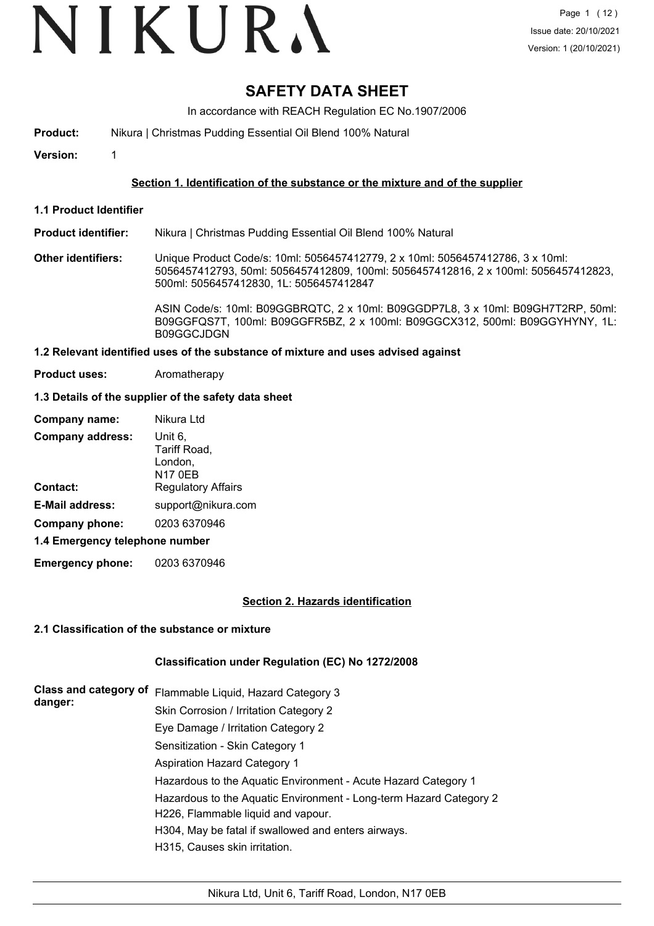# **SAFETY DATA SHEET**

In accordance with REACH Regulation EC No.1907/2006

**Product:** Nikura | Christmas Pudding Essential Oil Blend 100% Natural

**Version:** 1

### **Section 1. Identification of the substance or the mixture and of the supplier**

**1.1 Product Identifier**

**Product identifier:** Nikura | Christmas Pudding Essential Oil Blend 100% Natural

**Other identifiers:** Unique Product Code/s: 10ml: 5056457412779, 2 x 10ml: 5056457412786, 3 x 10ml: 5056457412793, 50ml: 5056457412809, 100ml: 5056457412816, 2 x 100ml: 5056457412823, 500ml: 5056457412830, 1L: 5056457412847

> ASIN Code/s: 10ml: B09GGBRQTC, 2 x 10ml: B09GGDP7L8, 3 x 10ml: B09GH7T2RP, 50ml: B09GGFQS7T, 100ml: B09GGFR5BZ, 2 x 100ml: B09GGCX312, 500ml: B09GGYHYNY, 1L: B09GGCJDGN

#### **1.2 Relevant identified uses of the substance of mixture and uses advised against**

**Product uses:** Aromatherapy

### **1.3 Details of the supplier of the safety data sheet**

| Company name:                  | Nikura Ltd                                    |
|--------------------------------|-----------------------------------------------|
| <b>Company address:</b>        | Unit 6.<br>Tariff Road,<br>London,<br>N17 0EB |
| Contact:                       | <b>Regulatory Affairs</b>                     |
| <b>E-Mail address:</b>         | support@nikura.com                            |
| Company phone:                 | 0203 6370946                                  |
| 1.4 Emergency telephone number |                                               |

**Emergency phone:** 0203 6370946

### **Section 2. Hazards identification**

### **2.1 Classification of the substance or mixture**

### **Classification under Regulation (EC) No 1272/2008**

| <b>Class and category of</b><br>danger: | Flammable Liquid, Hazard Category 3                                                                      |
|-----------------------------------------|----------------------------------------------------------------------------------------------------------|
|                                         | Skin Corrosion / Irritation Category 2                                                                   |
|                                         | Eye Damage / Irritation Category 2                                                                       |
|                                         | Sensitization - Skin Category 1                                                                          |
|                                         | <b>Aspiration Hazard Category 1</b>                                                                      |
|                                         | Hazardous to the Aquatic Environment - Acute Hazard Category 1                                           |
|                                         | Hazardous to the Aquatic Environment - Long-term Hazard Category 2<br>H226, Flammable liquid and vapour. |
|                                         | H304, May be fatal if swallowed and enters airways.                                                      |
|                                         | H315, Causes skin irritation.                                                                            |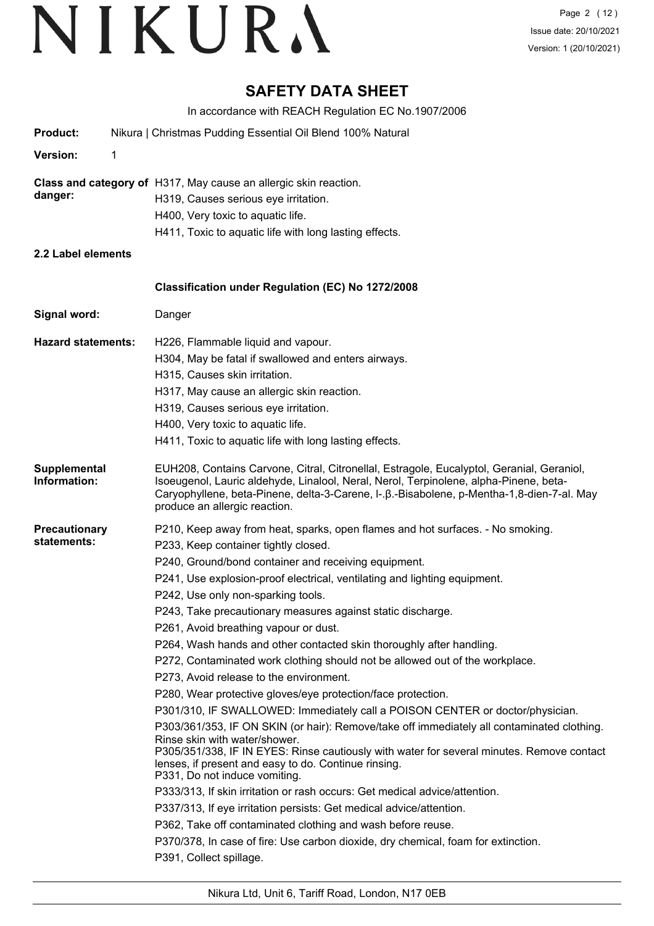# **SAFETY DATA SHEET**

In accordance with REACH Regulation EC No.1907/2006 **Product:** Nikura | Christmas Pudding Essential Oil Blend 100% Natural **Version:** 1 **Class and category of** H317, May cause an allergic skin reaction. **danger:** H319, Causes serious eye irritation. H400, Very toxic to aquatic life. H411, Toxic to aquatic life with long lasting effects. **2.2 Label elements Signal word:** Danger **Classification under Regulation (EC) No 1272/2008 Hazard statements:** H226, Flammable liquid and vapour. H304, May be fatal if swallowed and enters airways. H315, Causes skin irritation. H317, May cause an allergic skin reaction. H319, Causes serious eye irritation. H400, Very toxic to aquatic life. H411, Toxic to aquatic life with long lasting effects. EUH208, Contains Carvone, Citral, Citronellal, Estragole, Eucalyptol, Geranial, Geraniol, Isoeugenol, Lauric aldehyde, Linalool, Neral, Nerol, Terpinolene, alpha-Pinene, beta-Caryophyllene, beta-Pinene, delta-3-Carene, l-.β.-Bisabolene, p-Mentha-1,8-dien-7-al. May produce an allergic reaction. **Supplemental Information: Precautionary statements:** P210, Keep away from heat, sparks, open flames and hot surfaces. - No smoking. P233, Keep container tightly closed. P240, Ground/bond container and receiving equipment. P241, Use explosion-proof electrical, ventilating and lighting equipment. P242, Use only non-sparking tools. P243, Take precautionary measures against static discharge. P261, Avoid breathing vapour or dust. P264, Wash hands and other contacted skin thoroughly after handling. P272, Contaminated work clothing should not be allowed out of the workplace. P273, Avoid release to the environment. P280, Wear protective gloves/eye protection/face protection. P301/310, IF SWALLOWED: Immediately call a POISON CENTER or doctor/physician. P303/361/353, IF ON SKIN (or hair): Remove/take off immediately all contaminated clothing. Rinse skin with water/shower. P305/351/338, IF IN EYES: Rinse cautiously with water for several minutes. Remove contact lenses, if present and easy to do. Continue rinsing. P331, Do not induce vomiting. P333/313, If skin irritation or rash occurs: Get medical advice/attention. P337/313, If eye irritation persists: Get medical advice/attention. P362, Take off contaminated clothing and wash before reuse. P370/378, In case of fire: Use carbon dioxide, dry chemical, foam for extinction. P391, Collect spillage.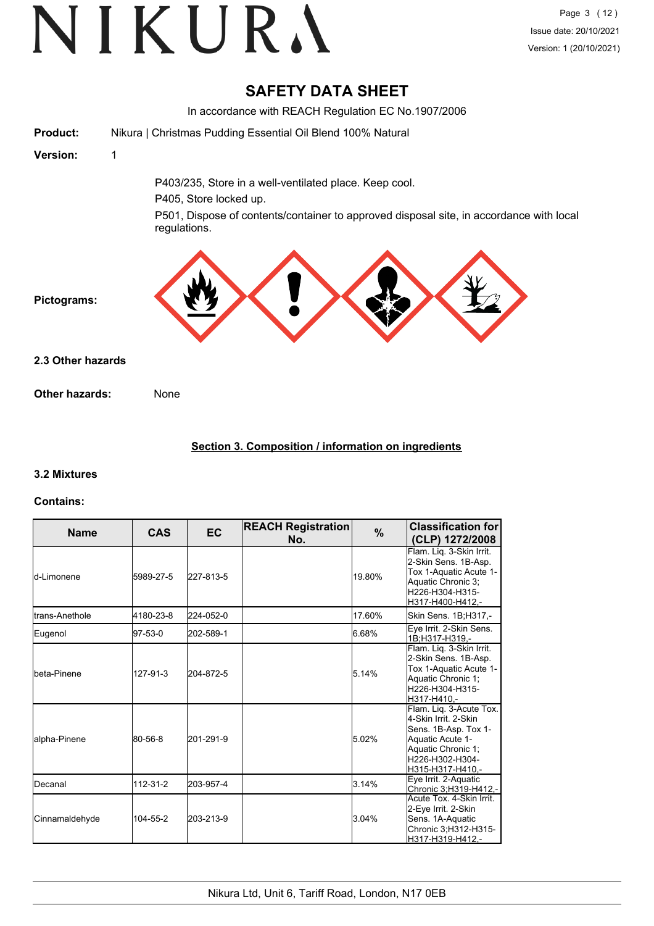# **SAFETY DATA SHEET**

|                       | In accordance with REACH Regulation EC No.1907/2006                                                                                                                                         |
|-----------------------|---------------------------------------------------------------------------------------------------------------------------------------------------------------------------------------------|
| <b>Product:</b>       | Nikura   Christmas Pudding Essential Oil Blend 100% Natural                                                                                                                                 |
| Version:              | 1                                                                                                                                                                                           |
|                       | P403/235, Store in a well-ventilated place. Keep cool.<br>P405, Store locked up.<br>P501, Dispose of contents/container to approved disposal site, in accordance with local<br>regulations. |
| Pictograms:           |                                                                                                                                                                                             |
| 2.3 Other hazards     |                                                                                                                                                                                             |
| <b>Other hazards:</b> | None                                                                                                                                                                                        |
|                       |                                                                                                                                                                                             |

# **Section 3. Composition / information on ingredients**

# **3.2 Mixtures**

### **Contains:**

| <b>Name</b>           | <b>CAS</b> | EC        | <b>REACH Registration</b><br>No. | $\%$   | <b>Classification for</b><br>(CLP) 1272/2008                                                                                                             |
|-----------------------|------------|-----------|----------------------------------|--------|----------------------------------------------------------------------------------------------------------------------------------------------------------|
| ld-Limonene           | 5989-27-5  | 227-813-5 |                                  | 19.80% | Flam. Lig. 3-Skin Irrit.<br>2-Skin Sens. 1B-Asp.<br>Tox 1-Aquatic Acute 1-<br>Aquatic Chronic 3;<br>H226-H304-H315-<br>H317-H400-H412,-                  |
| Itrans-Anethole       | 4180-23-8  | 224-052-0 |                                  | 17.60% | Skin Sens. 1B;H317,-                                                                                                                                     |
| Eugenol               | 97-53-0    | 202-589-1 |                                  | 6.68%  | Eye Irrit. 2-Skin Sens.<br>1B:H317-H319.-                                                                                                                |
| Ibeta-Pinene          | 127-91-3   | 204-872-5 |                                  | 5.14%  | Flam. Liq. 3-Skin Irrit.<br>2-Skin Sens. 1B-Asp.<br>Tox 1-Aquatic Acute 1-<br>Aquatic Chronic 1;<br>H226-H304-H315-<br>H317-H410.-                       |
| alpha-Pinene          | 80-56-8    | 201-291-9 |                                  | 5.02%  | Flam. Lig. 3-Acute Tox.<br>4-Skin Irrit. 2-Skin<br>Sens. 1B-Asp. Tox 1-<br>Aquatic Acute 1-<br>Aquatic Chronic 1:<br>H226-H302-H304-<br>H315-H317-H410,- |
| IDecanal              | 112-31-2   | 203-957-4 |                                  | 3.14%  | Eye Irrit. 2-Aquatic<br>Chronic 3; H319-H412,-                                                                                                           |
| <b>Cinnamaldehyde</b> | 104-55-2   | 203-213-9 |                                  | 3.04%  | Acute Tox. 4-Skin Irrit.<br>2-Eye Irrit. 2-Skin<br>Sens. 1A-Aquatic<br>Chronic 3; H312-H315-<br>H317-H319-H412,-                                         |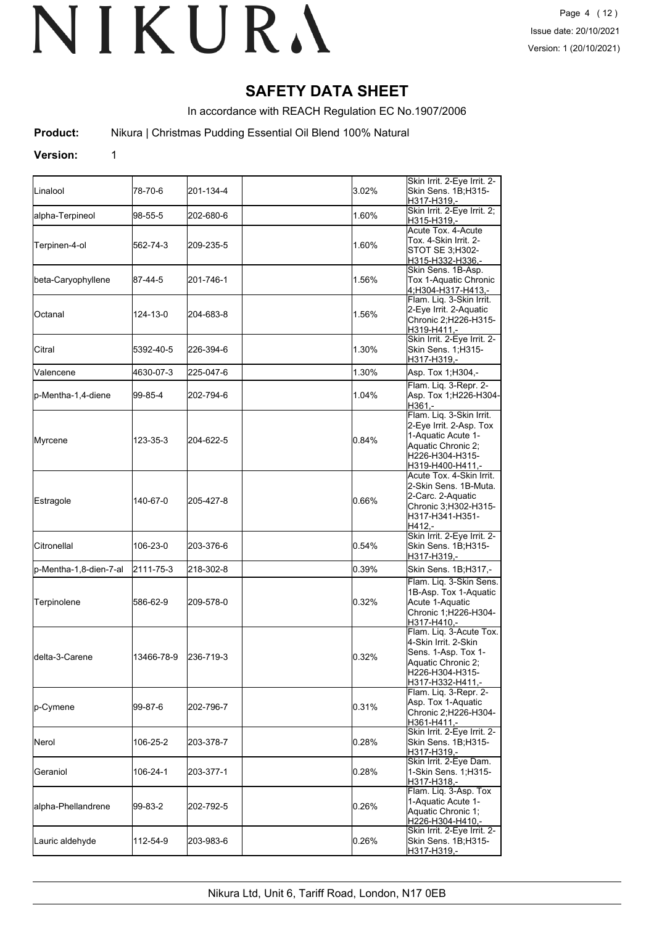# **SAFETY DATA SHEET**

In accordance with REACH Regulation EC No.1907/2006

**Product:** Nikura | Christmas Pudding Essential Oil Blend 100% Natural

### **Version:** 1

| <b>L</b> inalool        | 78-70-6    | 201-134-4 | 3.02% | Skin Irrit. 2-Eye Irrit. 2-<br>Skin Sens. 1B;H315-<br>H317-H319,-                                                                      |
|-------------------------|------------|-----------|-------|----------------------------------------------------------------------------------------------------------------------------------------|
| alpha-Terpineol         | 98-55-5    | 202-680-6 | 1.60% | Skin Irrit. 2-Eye Irrit. 2;<br>H315-H319,-                                                                                             |
| Terpinen-4-ol           | 562-74-3   | 209-235-5 | 1.60% | Acute Tox, 4-Acute<br>Tox. 4-Skin Irrit. 2-<br>STOT SE 3;H302-<br><u>H315-H332-H336,-</u>                                              |
| beta-Caryophyllene      | 187-44-5   | 201-746-1 | 1.56% | Skin Sens. 1B-Asp.<br>Tox 1-Aquatic Chronic<br>4;H304-H317-H413,-                                                                      |
| <b>Octanal</b>          | 124-13-0   | 204-683-8 | 1.56% | Flam. Lig. 3-Skin Irrit.<br>2-Eye Irrit. 2-Aquatic<br>Chronic 2;H226-H315-<br>H319-H411,-                                              |
| Citral                  | 5392-40-5  | 226-394-6 | 1.30% | Skin Irrit. 2-Eye Irrit. 2-<br>Skin Sens. 1;H315-<br>H317-H319,-                                                                       |
| Valencene               | 4630-07-3  | 225-047-6 | 1.30% | Asp. Tox 1; H304,-                                                                                                                     |
| p-Mentha-1,4-diene      | 99-85-4    | 202-794-6 | 1.04% | Flam. Liq. 3-Repr. 2-<br>Asp. Tox 1; H226-H304-<br>H361,-                                                                              |
| Myrcene                 | 123-35-3   | 204-622-5 | 0.84% | Flam. Liq. 3-Skin Irrit.<br>2-Eye Irrit. 2-Asp. Tox<br>1-Aquatic Acute 1-<br>Aquatic Chronic 2;<br>H226-H304-H315-<br>H319-H400-H411.- |
| Estragole               | 140-67-0   | 205-427-8 | 0.66% | Acute Tox. 4-Skin Irrit.<br>2-Skin Sens. 1B-Muta.<br>2-Carc. 2-Aquatic<br>Chronic 3;H302-H315-<br>H317-H341-H351-<br>H412.-            |
| <b>Citronellal</b>      | 106-23-0   | 203-376-6 | 0.54% | Skin Irrit. 2-Eye Irrit. 2-<br>Skin Sens. 1B;H315-<br>H317-H319,-                                                                      |
| p-Mentha-1,8-dien-7-al  | 2111-75-3  | 218-302-8 | 0.39% | Skin Sens. 1B;H317,-                                                                                                                   |
| Terpinolene             | 586-62-9   | 209-578-0 | 0.32% | Flam. Liq. 3-Skin Sens.<br>1B-Asp. Tox 1-Aquatic<br>Acute 1-Aquatic<br>Chronic 1;H226-H304-<br>H317-H410 .-                            |
| <b>I</b> delta-3-Carene | 13466-78-9 | 236-719-3 | 0.32% | Flam. Liq. 3-Acute Tox.<br>4-Skin Irrit. 2-Skin<br>Sens. 1-Asp. Tox 1-<br>Aquatic Chronic 2;<br>H226-H304-H315-<br>H317-H332-H411,-    |
| lp-Cymene               | 99-87-6    | 202-796-7 | 0.31% | Flam. Liq. 3-Repr. 2-<br>Asp. Tox 1-Aquatic<br>Chronic 2;H226-H304-<br>H361-H411,-                                                     |
| Nerol                   | 106-25-2   | 203-378-7 | 0.28% | Skin Irrit. 2-Eye Irrit. 2-<br>Skin Sens. 1B;H315-<br>H317-H319,-                                                                      |
| Geraniol                | 106-24-1   | 203-377-1 | 0.28% | Skin Irrit. 2-Eye Dam.<br>1-Skin Sens. 1; H315-<br>H317-H318,-                                                                         |
| alpha-Phellandrene      | 99-83-2    | 202-792-5 | 0.26% | Flam. Liq. 3-Asp. Tox<br>1-Aquatic Acute 1-<br>Aquatic Chronic 1;<br>H226-H304-H410,-                                                  |
| Lauric aldehyde         | 112-54-9   | 203-983-6 | 0.26% | Skin Irrit. 2-Eye Irrit. 2-<br>Skin Sens. 1B;H315-<br>H317-H319,-                                                                      |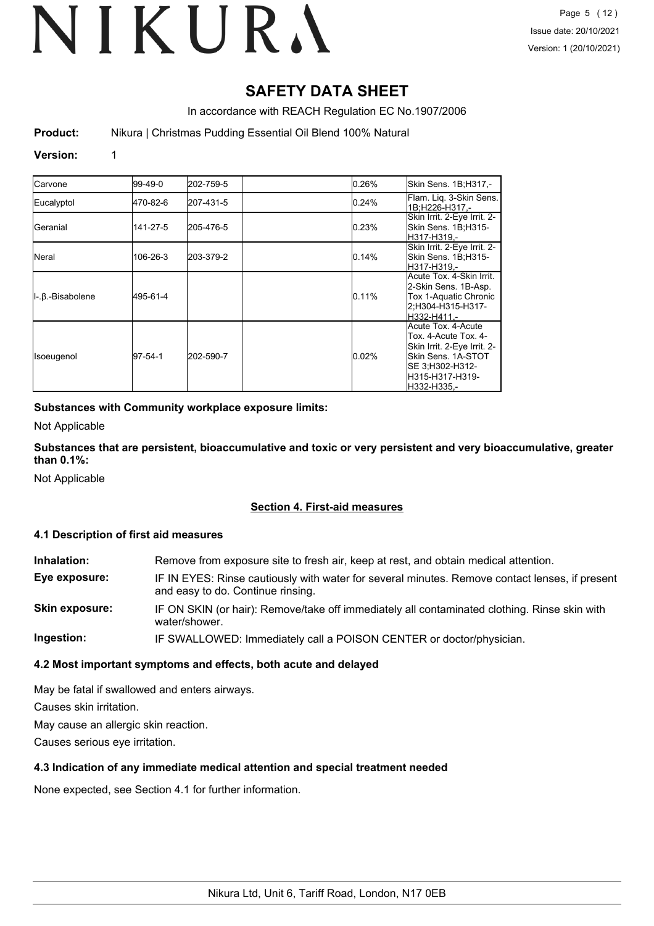# **SAFETY DATA SHEET**

In accordance with REACH Regulation EC No.1907/2006

**Product:** Nikura | Christmas Pudding Essential Oil Blend 100% Natural

### **Version:** 1

| <b>Carvone</b>                      | 99-49-0  | 202-759-5 | 0.26% | Skin Sens. 1B;H317,-                                                                                                                                   |
|-------------------------------------|----------|-----------|-------|--------------------------------------------------------------------------------------------------------------------------------------------------------|
| Eucalyptol                          | 470-82-6 | 207-431-5 | 0.24% | Flam. Lig. 3-Skin Sens.<br>1B:H226-H317,-                                                                                                              |
| lGeranial                           | 141-27-5 | 205-476-5 | 0.23% | Skin Irrit. 2-Eye Irrit. 2-<br>Skin Sens. 1B;H315-<br>lH317-H319.-                                                                                     |
| <b>Neral</b>                        | 106-26-3 | 203-379-2 | 0.14% | Skin Irrit. 2-Eye Irrit. 2-<br>Skin Sens. 1B;H315-<br>lH317-H319.-                                                                                     |
| $\parallel$ -. $\beta$ .-Bisabolene | 495-61-4 |           | 0.11% | Acute Tox. 4-Skin Irrit.<br>2-Skin Sens. 1B-Asp.<br>Tox 1-Aquatic Chronic<br>2:H304-H315-H317-<br>H332-H411.-                                          |
| Isoeugenol                          | 97-54-1  | 202-590-7 | 0.02% | Acute Tox. 4-Acute<br>Tox. 4-Acute Tox. 4-<br>Skin Irrit. 2-Eye Irrit. 2-<br>Skin Sens. 1A-STOT<br>SE 3;H302-H312-<br>IH315-H317-H319-<br>IH332-H335.- |

### **Substances with Community workplace exposure limits:**

Not Applicable

**Substances that are persistent, bioaccumulative and toxic or very persistent and very bioaccumulative, greater than 0.1%:**

Not Applicable

### **Section 4. First-aid measures**

### **4.1 Description of first aid measures**

| Inhalation:           | Remove from exposure site to fresh air, keep at rest, and obtain medical attention.                                                 |
|-----------------------|-------------------------------------------------------------------------------------------------------------------------------------|
| Eye exposure:         | IF IN EYES: Rinse cautiously with water for several minutes. Remove contact lenses, if present<br>and easy to do. Continue rinsing. |
| <b>Skin exposure:</b> | IF ON SKIN (or hair): Remove/take off immediately all contaminated clothing. Rinse skin with<br>water/shower.                       |
| Ingestion:            | IF SWALLOWED: Immediately call a POISON CENTER or doctor/physician.                                                                 |

### **4.2 Most important symptoms and effects, both acute and delayed**

May be fatal if swallowed and enters airways.

Causes skin irritation.

May cause an allergic skin reaction.

Causes serious eye irritation.

### **4.3 Indication of any immediate medical attention and special treatment needed**

None expected, see Section 4.1 for further information.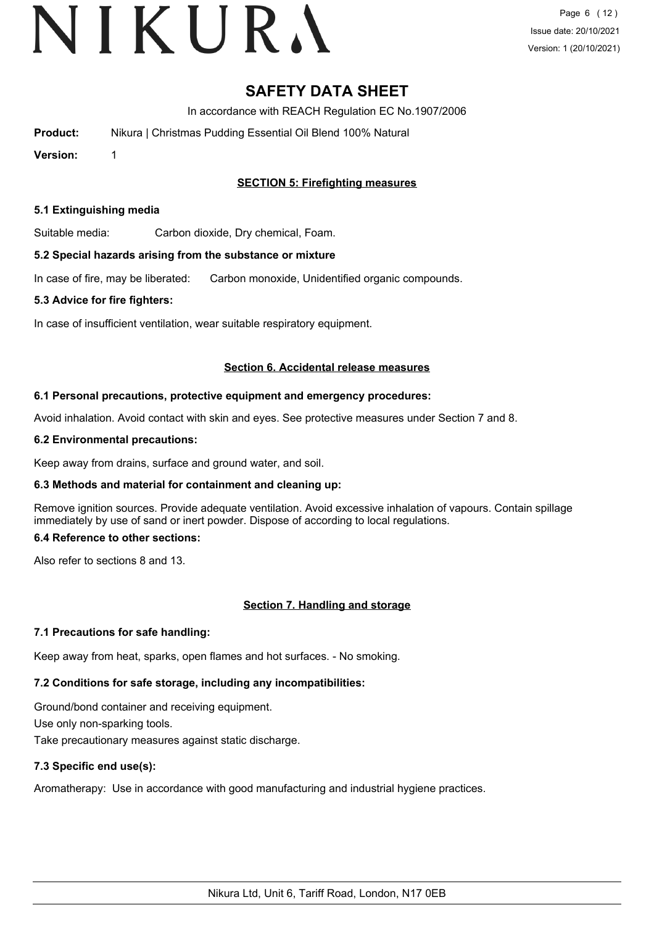# **SAFETY DATA SHEET**

In accordance with REACH Regulation EC No.1907/2006

| <b>Product:</b> | Nikura   Christmas Pudding Essential Oil Blend 100% Natural |
|-----------------|-------------------------------------------------------------|
|                 |                                                             |

**Version:** 1

# **SECTION 5: Firefighting measures**

### **5.1 Extinguishing media**

Suitable media: Carbon dioxide, Dry chemical, Foam.

### **5.2 Special hazards arising from the substance or mixture**

In case of fire, may be liberated: Carbon monoxide, Unidentified organic compounds.

#### **5.3 Advice for fire fighters:**

In case of insufficient ventilation, wear suitable respiratory equipment.

#### **Section 6. Accidental release measures**

#### **6.1 Personal precautions, protective equipment and emergency procedures:**

Avoid inhalation. Avoid contact with skin and eyes. See protective measures under Section 7 and 8.

#### **6.2 Environmental precautions:**

Keep away from drains, surface and ground water, and soil.

### **6.3 Methods and material for containment and cleaning up:**

Remove ignition sources. Provide adequate ventilation. Avoid excessive inhalation of vapours. Contain spillage immediately by use of sand or inert powder. Dispose of according to local regulations.

### **6.4 Reference to other sections:**

Also refer to sections 8 and 13.

### **Section 7. Handling and storage**

### **7.1 Precautions for safe handling:**

Keep away from heat, sparks, open flames and hot surfaces. - No smoking.

# **7.2 Conditions for safe storage, including any incompatibilities:**

Ground/bond container and receiving equipment. Use only non-sparking tools. Take precautionary measures against static discharge.

# **7.3 Specific end use(s):**

Aromatherapy: Use in accordance with good manufacturing and industrial hygiene practices.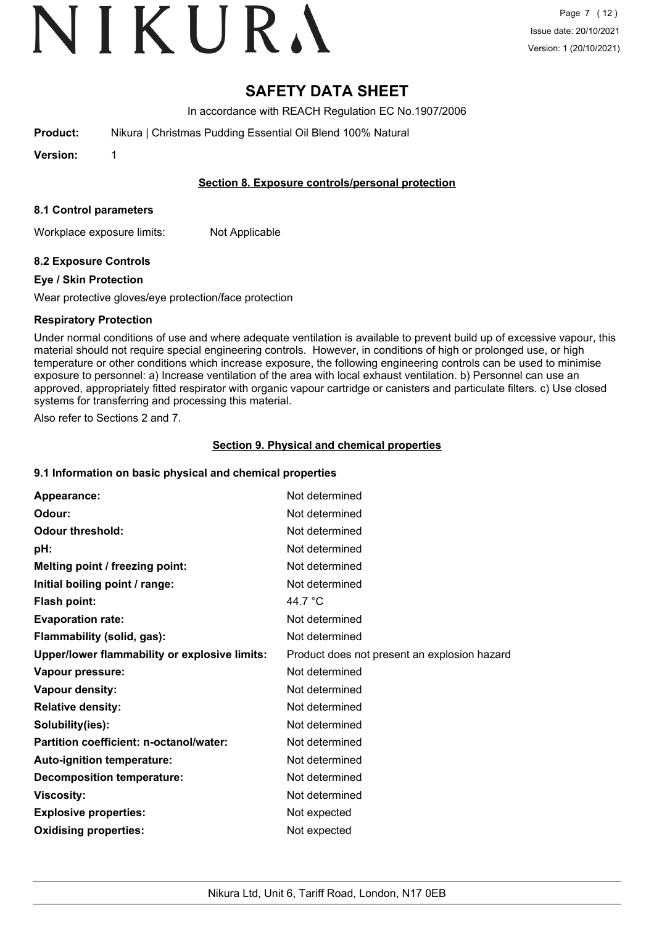# **SAFETY DATA SHEET**

In accordance with REACH Regulation EC No.1907/2006

**Product:** Nikura | Christmas Pudding Essential Oil Blend 100% Natural

**Version:** 1

## **Section 8. Exposure controls/personal protection**

### **8.1 Control parameters**

Workplace exposure limits: Not Applicable

# **8.2 Exposure Controls**

## **Eye / Skin Protection**

Wear protective gloves/eye protection/face protection

## **Respiratory Protection**

Under normal conditions of use and where adequate ventilation is available to prevent build up of excessive vapour, this material should not require special engineering controls. However, in conditions of high or prolonged use, or high temperature or other conditions which increase exposure, the following engineering controls can be used to minimise exposure to personnel: a) Increase ventilation of the area with local exhaust ventilation. b) Personnel can use an approved, appropriately fitted respirator with organic vapour cartridge or canisters and particulate filters. c) Use closed systems for transferring and processing this material.

Also refer to Sections 2 and 7.

# **Section 9. Physical and chemical properties**

# **9.1 Information on basic physical and chemical properties**

| Appearance:                                   | Not determined                               |
|-----------------------------------------------|----------------------------------------------|
| Odour:                                        | Not determined                               |
| <b>Odour threshold:</b>                       | Not determined                               |
| pH:                                           | Not determined                               |
| Melting point / freezing point:               | Not determined                               |
| Initial boiling point / range:                | Not determined                               |
| <b>Flash point:</b>                           | 44.7 $\degree$ C                             |
| <b>Evaporation rate:</b>                      | Not determined                               |
| Flammability (solid, gas):                    | Not determined                               |
| Upper/lower flammability or explosive limits: | Product does not present an explosion hazard |
| Vapour pressure:                              | Not determined                               |
| Vapour density:                               | Not determined                               |
| <b>Relative density:</b>                      | Not determined                               |
| Solubility(ies):                              | Not determined                               |
| Partition coefficient: n-octanol/water:       | Not determined                               |
| Auto-ignition temperature:                    | Not determined                               |
| <b>Decomposition temperature:</b>             | Not determined                               |
| <b>Viscosity:</b>                             | Not determined                               |
| <b>Explosive properties:</b>                  | Not expected                                 |
| <b>Oxidising properties:</b>                  | Not expected                                 |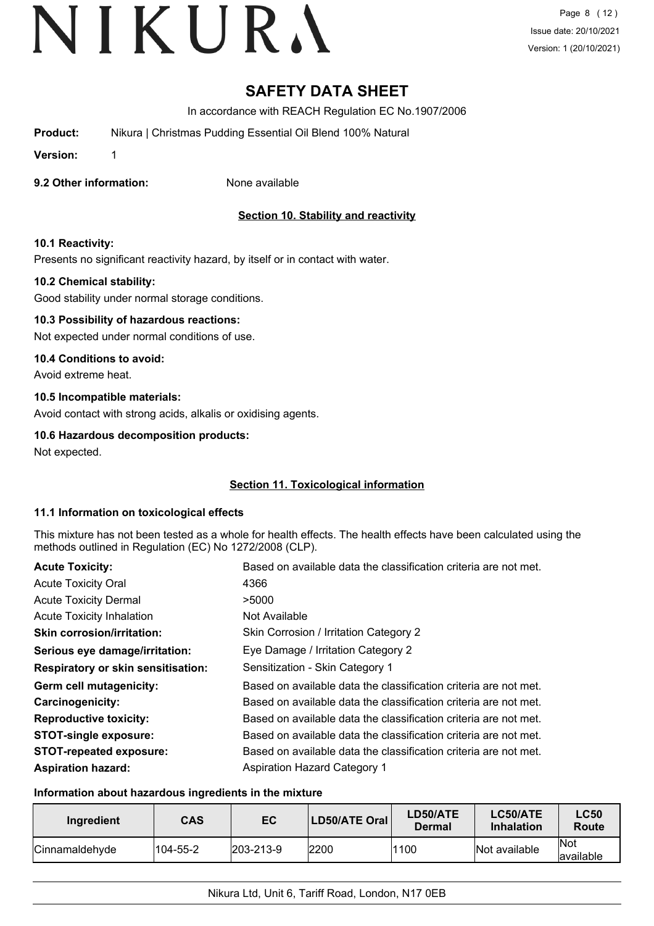# **SAFETY DATA SHEET**

In accordance with REACH Regulation EC No.1907/2006

**Product:** Nikura | Christmas Pudding Essential Oil Blend 100% Natural

**Version:** 1

### **9.2 Other information:** None available

# **Section 10. Stability and reactivity**

## **10.1 Reactivity:**

Presents no significant reactivity hazard, by itself or in contact with water.

## **10.2 Chemical stability:**

Good stability under normal storage conditions.

## **10.3 Possibility of hazardous reactions:**

Not expected under normal conditions of use.

### **10.4 Conditions to avoid:**

Avoid extreme heat.

## **10.5 Incompatible materials:**

Avoid contact with strong acids, alkalis or oxidising agents.

## **10.6 Hazardous decomposition products:**

Not expected.

# **Section 11. Toxicological information**

### **11.1 Information on toxicological effects**

This mixture has not been tested as a whole for health effects. The health effects have been calculated using the methods outlined in Regulation (EC) No 1272/2008 (CLP).

| <b>Acute Toxicity:</b>                    | Based on available data the classification criteria are not met. |
|-------------------------------------------|------------------------------------------------------------------|
| <b>Acute Toxicity Oral</b>                | 4366                                                             |
| <b>Acute Toxicity Dermal</b>              | >5000                                                            |
| <b>Acute Toxicity Inhalation</b>          | Not Available                                                    |
| <b>Skin corrosion/irritation:</b>         | Skin Corrosion / Irritation Category 2                           |
| Serious eye damage/irritation:            | Eye Damage / Irritation Category 2                               |
| <b>Respiratory or skin sensitisation:</b> | Sensitization - Skin Category 1                                  |
| Germ cell mutagenicity:                   | Based on available data the classification criteria are not met. |
| <b>Carcinogenicity:</b>                   | Based on available data the classification criteria are not met. |
| <b>Reproductive toxicity:</b>             | Based on available data the classification criteria are not met. |
| <b>STOT-single exposure:</b>              | Based on available data the classification criteria are not met. |
| <b>STOT-repeated exposure:</b>            | Based on available data the classification criteria are not met. |
| <b>Aspiration hazard:</b>                 | <b>Aspiration Hazard Category 1</b>                              |

### **Information about hazardous ingredients in the mixture**

| Ingredient             | <b>CAS</b> | EC                | LD50/ATE Oral | LD50/ATE<br>Dermal | LC50/ATE<br><b>Inhalation</b> | <b>LC50</b><br>Route     |
|------------------------|------------|-------------------|---------------|--------------------|-------------------------------|--------------------------|
| <b>ICinnamaldehvde</b> | 104-55-2   | $ 203 - 213 - 9 $ | 2200          | 1100               | Not available                 | <b>INot</b><br>available |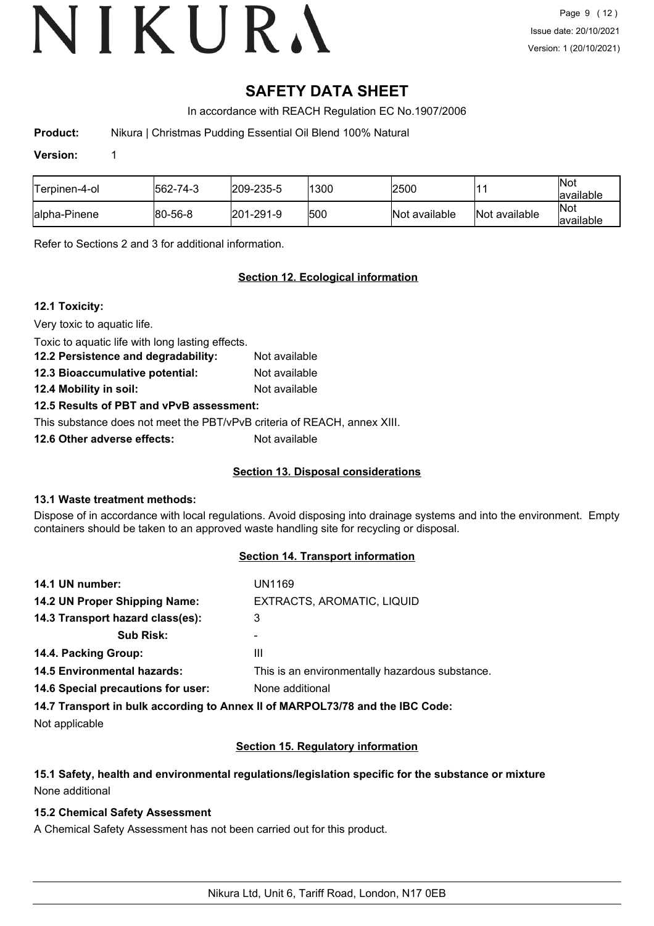# **SAFETY DATA SHEET**

In accordance with REACH Regulation EC No.1907/2006

**Product:** Nikura | Christmas Pudding Essential Oil Blend 100% Natural

### **Version:** 1

| Terpinen-4-ol | 562-74-3 | 209-235-5         | 1300 | 2500          |               | $\vert$ Not<br>available |
|---------------|----------|-------------------|------|---------------|---------------|--------------------------|
| lalpha-Pinene | 80-56-8  | $ 201 - 291 - 9 $ | 500  | Not available | Not available | Not<br>available         |

Refer to Sections 2 and 3 for additional information.

# **Section 12. Ecological information**

## **12.1 Toxicity:**

Very toxic to aquatic life.

Toxic to aquatic life with long lasting effects.

| 12.2 Persistence and degradability:          | Not available     |
|----------------------------------------------|-------------------|
| $\overline{40.0}$ Diagrams define naturalish | والمادانون والملك |

**12.3 Bioaccumulative potential:** Not available **12.4 Mobility in soil:** Not available

**12.5 Results of PBT and vPvB assessment:**

This substance does not meet the PBT/vPvB criteria of REACH, annex XIII.

**12.6 Other adverse effects:** Not available

# **Section 13. Disposal considerations**

# **13.1 Waste treatment methods:**

Dispose of in accordance with local regulations. Avoid disposing into drainage systems and into the environment. Empty containers should be taken to an approved waste handling site for recycling or disposal.

# **Section 14. Transport information**

| 14.1 UN number:                                                                | UN1169                     |
|--------------------------------------------------------------------------------|----------------------------|
| 14.2 UN Proper Shipping Name:                                                  | EXTRACTS, AROMATIC, LIQUID |
| 14.3 Transport hazard class(es):                                               | 3                          |
| <b>Sub Risk:</b>                                                               |                            |
| 14.4. Packing Group:                                                           | Ш                          |
| 14.5 Environmental hazards:<br>This is an environmentally hazardous substance. |                            |
| 14.6 Special precautions for user:                                             | None additional            |
|                                                                                |                            |

**14.7 Transport in bulk according to Annex II of MARPOL73/78 and the IBC Code:**

Not applicable

# **Section 15. Regulatory information**

## **15.1 Safety, health and environmental regulations/legislation specific for the substance or mixture** None additional

# **15.2 Chemical Safety Assessment**

A Chemical Safety Assessment has not been carried out for this product.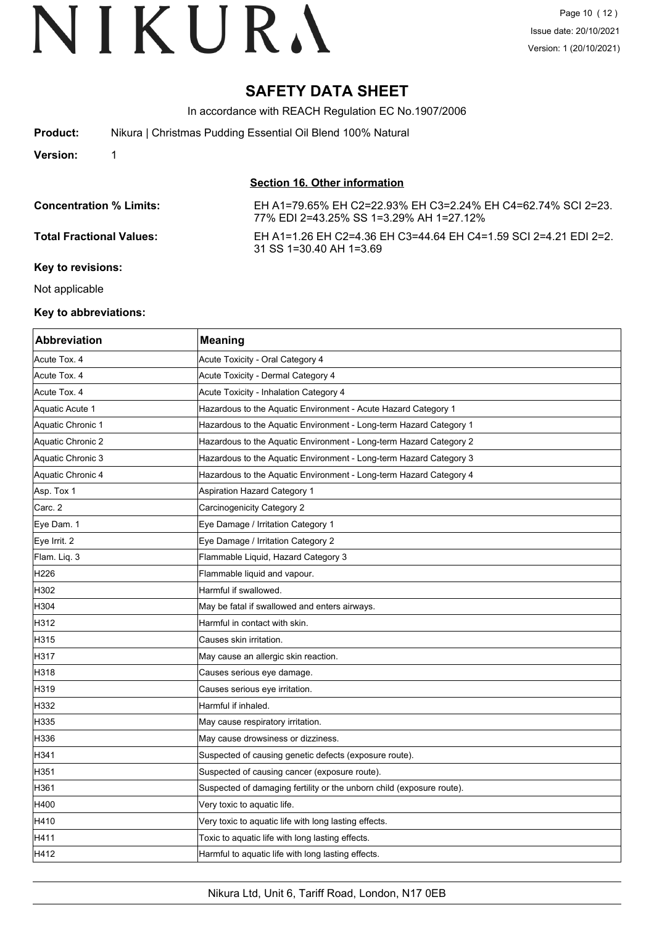# **SAFETY DATA SHEET**

In accordance with REACH Regulation EC No.1907/2006

| <b>Product:</b> | Nikura   Christmas Pudding Essential Oil Blend 100% Natural |
|-----------------|-------------------------------------------------------------|
| <b>Version:</b> |                                                             |

**Section 16. Other information**

| <b>Concentration % Limits:</b>  | EH A1=79.65% EH C2=22.93% EH C3=2.24% EH C4=62.74% SCI 2=23.<br>77% EDI 2=43.25% SS 1=3.29% AH 1=27.12% |
|---------------------------------|---------------------------------------------------------------------------------------------------------|
| <b>Total Fractional Values:</b> | EH A1=1.26 EH C2=4.36 EH C3=44.64 EH C4=1.59 SCI 2=4.21 EDI 2=2.<br>31 SS 1=30.40 AH 1=3.69             |
| Key to revisions:               |                                                                                                         |

Not applicable

#### **Key to abbreviations:**

| Abbreviation      | <b>Meaning</b>                                                        |
|-------------------|-----------------------------------------------------------------------|
| Acute Tox. 4      | Acute Toxicity - Oral Category 4                                      |
| Acute Tox. 4      | Acute Toxicity - Dermal Category 4                                    |
| Acute Tox. 4      | Acute Toxicity - Inhalation Category 4                                |
| Aquatic Acute 1   | Hazardous to the Aquatic Environment - Acute Hazard Category 1        |
| Aquatic Chronic 1 | Hazardous to the Aquatic Environment - Long-term Hazard Category 1    |
| Aquatic Chronic 2 | Hazardous to the Aquatic Environment - Long-term Hazard Category 2    |
| Aquatic Chronic 3 | Hazardous to the Aquatic Environment - Long-term Hazard Category 3    |
| Aquatic Chronic 4 | Hazardous to the Aquatic Environment - Long-term Hazard Category 4    |
| Asp. Tox 1        | Aspiration Hazard Category 1                                          |
| Carc. 2           | Carcinogenicity Category 2                                            |
| Eye Dam. 1        | Eye Damage / Irritation Category 1                                    |
| Eye Irrit. 2      | Eye Damage / Irritation Category 2                                    |
| Flam. Liq. 3      | Flammable Liquid, Hazard Category 3                                   |
| H226              | Flammable liquid and vapour.                                          |
| H302              | Harmful if swallowed.                                                 |
| H304              | May be fatal if swallowed and enters airways.                         |
| H312              | Harmful in contact with skin.                                         |
| H315              | Causes skin irritation.                                               |
| H317              | May cause an allergic skin reaction.                                  |
| H318              | Causes serious eye damage.                                            |
| H319              | Causes serious eye irritation.                                        |
| H332              | Harmful if inhaled.                                                   |
| H335              | May cause respiratory irritation.                                     |
| H336              | May cause drowsiness or dizziness.                                    |
| H341              | Suspected of causing genetic defects (exposure route).                |
| H351              | Suspected of causing cancer (exposure route).                         |
| H361              | Suspected of damaging fertility or the unborn child (exposure route). |
| H400              | Very toxic to aquatic life.                                           |
| H410              | Very toxic to aquatic life with long lasting effects.                 |
| H411              | Toxic to aquatic life with long lasting effects.                      |
| H412              | Harmful to aquatic life with long lasting effects.                    |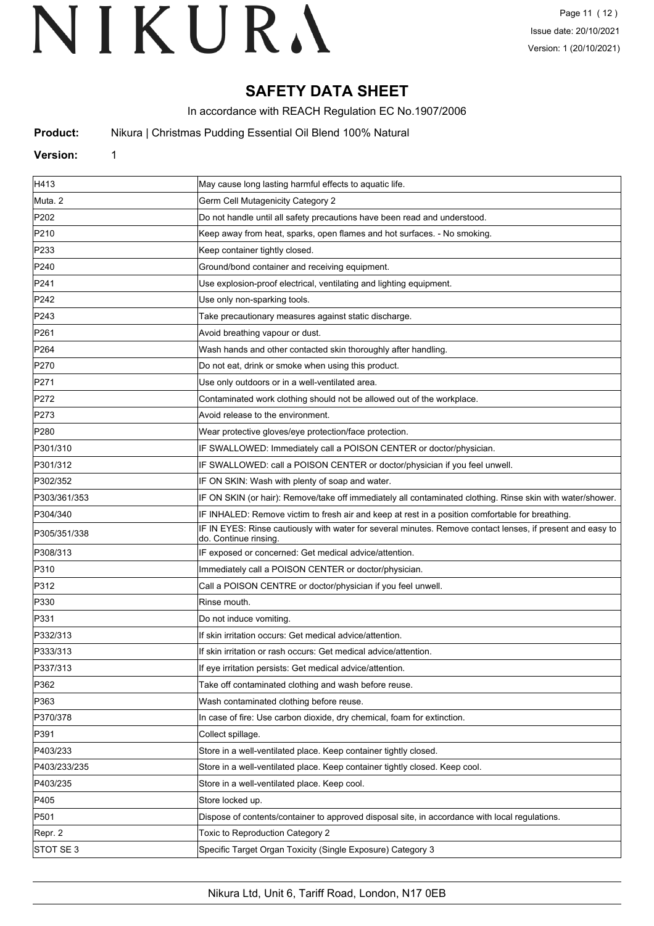# **SAFETY DATA SHEET**

In accordance with REACH Regulation EC No.1907/2006

**Product:** Nikura | Christmas Pudding Essential Oil Blend 100% Natural

#### **Version:** 1

| H413             | May cause long lasting harmful effects to aquatic life.                                                                             |
|------------------|-------------------------------------------------------------------------------------------------------------------------------------|
| Muta. 2          | Germ Cell Mutagenicity Category 2                                                                                                   |
| P202             | Do not handle until all safety precautions have been read and understood.                                                           |
| P210             | Keep away from heat, sparks, open flames and hot surfaces. - No smoking.                                                            |
| P233             | Keep container tightly closed.                                                                                                      |
| P240             | Ground/bond container and receiving equipment.                                                                                      |
| P241             | Use explosion-proof electrical, ventilating and lighting equipment.                                                                 |
| P242             | Use only non-sparking tools.                                                                                                        |
| P243             | Take precautionary measures against static discharge.                                                                               |
| P261             | Avoid breathing vapour or dust.                                                                                                     |
| P <sub>264</sub> | Wash hands and other contacted skin thoroughly after handling.                                                                      |
| P270             | Do not eat, drink or smoke when using this product.                                                                                 |
| P271             | Use only outdoors or in a well-ventilated area.                                                                                     |
| P272             | Contaminated work clothing should not be allowed out of the workplace.                                                              |
| P273             | Avoid release to the environment.                                                                                                   |
| P280             | Wear protective gloves/eye protection/face protection.                                                                              |
| P301/310         | IF SWALLOWED: Immediately call a POISON CENTER or doctor/physician.                                                                 |
| P301/312         | IF SWALLOWED: call a POISON CENTER or doctor/physician if you feel unwell.                                                          |
| P302/352         | IF ON SKIN: Wash with plenty of soap and water.                                                                                     |
| P303/361/353     | IF ON SKIN (or hair): Remove/take off immediately all contaminated clothing. Rinse skin with water/shower.                          |
| P304/340         | IF INHALED: Remove victim to fresh air and keep at rest in a position comfortable for breathing.                                    |
| P305/351/338     | IF IN EYES: Rinse cautiously with water for several minutes. Remove contact lenses, if present and easy to<br>do. Continue rinsing. |
| P308/313         | IF exposed or concerned: Get medical advice/attention.                                                                              |
| P310             | Immediately call a POISON CENTER or doctor/physician.                                                                               |
| P312             | Call a POISON CENTRE or doctor/physician if you feel unwell.                                                                        |
| P330             | Rinse mouth.                                                                                                                        |
| P331             | Do not induce vomiting.                                                                                                             |
| P332/313         | If skin irritation occurs: Get medical advice/attention.                                                                            |
| P333/313         | If skin irritation or rash occurs: Get medical advice/attention.                                                                    |
| P337/313         | If eye irritation persists: Get medical advice/attention.                                                                           |
| P362             | Take off contaminated clothing and wash before reuse.                                                                               |
| P363             | Wash contaminated clothing before reuse.                                                                                            |
| P370/378         | In case of fire: Use carbon dioxide, dry chemical, foam for extinction.                                                             |
| P391             | Collect spillage.                                                                                                                   |
| P403/233         | Store in a well-ventilated place. Keep container tightly closed.                                                                    |
| P403/233/235     | Store in a well-ventilated place. Keep container tightly closed. Keep cool.                                                         |
| P403/235         | Store in a well-ventilated place. Keep cool.                                                                                        |
| P405             | Store locked up.                                                                                                                    |
| P501             | Dispose of contents/container to approved disposal site, in accordance with local regulations.                                      |
| Repr. 2          | Toxic to Reproduction Category 2                                                                                                    |
| STOT SE 3        | Specific Target Organ Toxicity (Single Exposure) Category 3                                                                         |